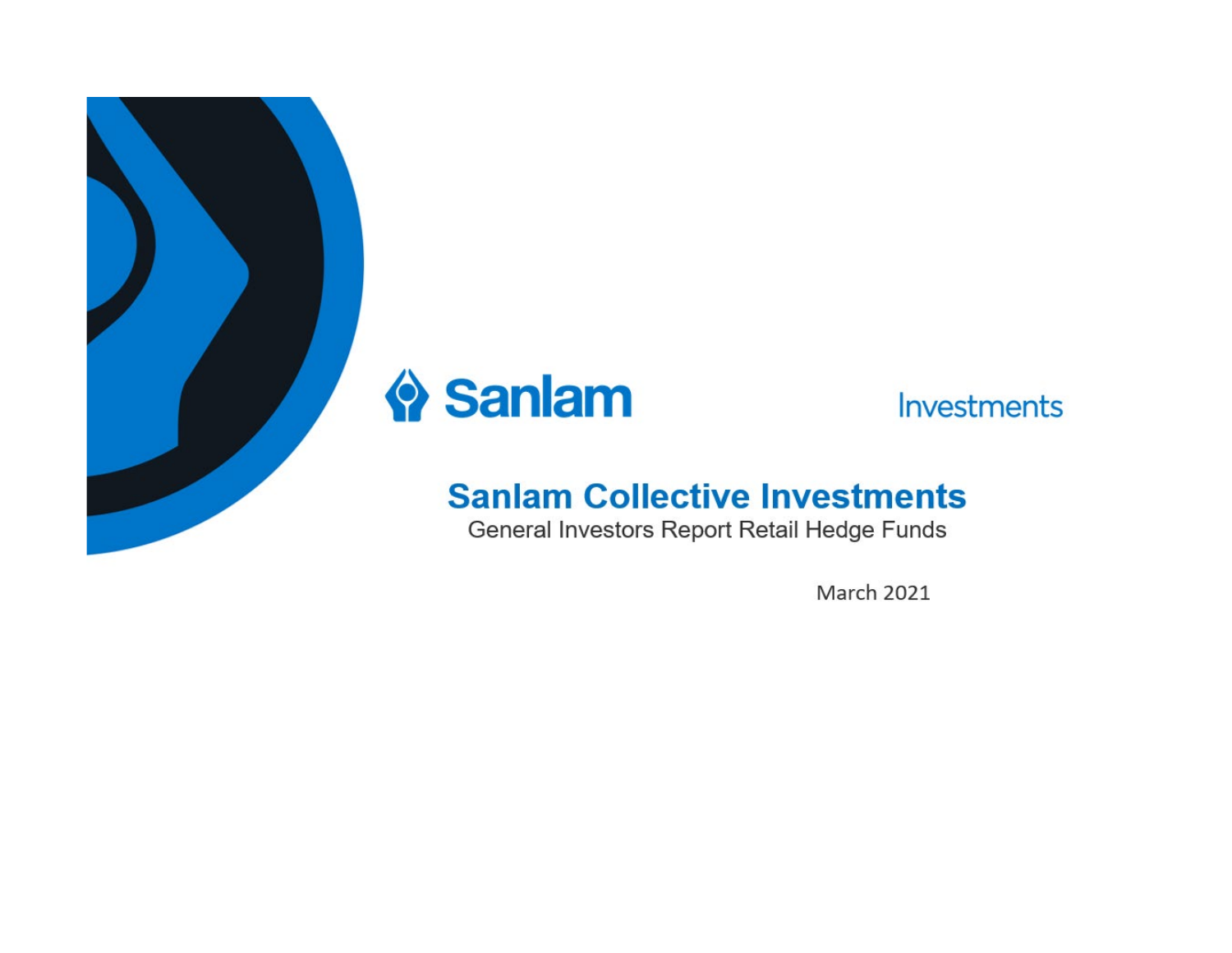



Investments

# **Sanlam Collective Investments**

General Investors Report Retail Hedge Funds

**March 2021**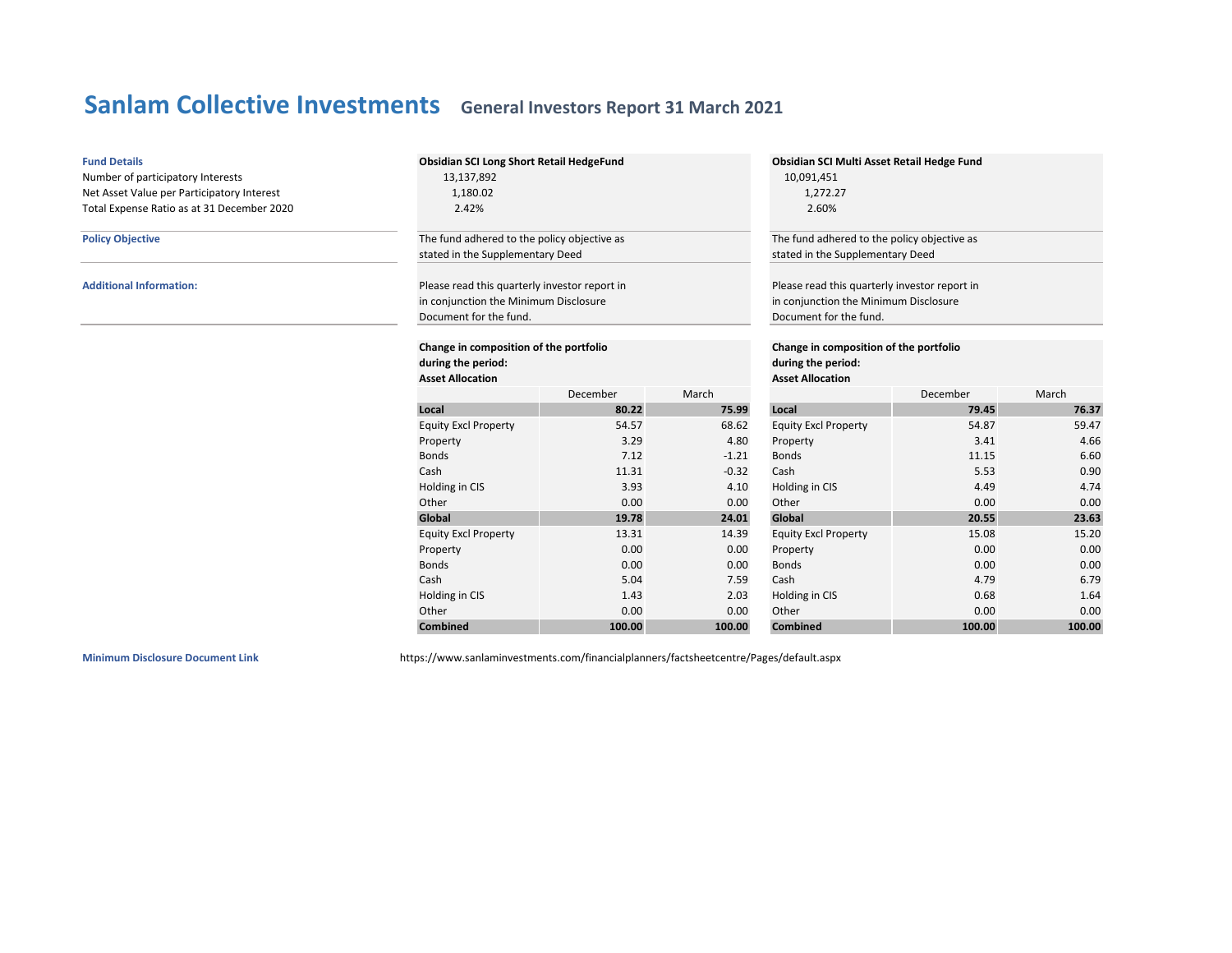| <b>Fund Details</b><br>Number of participatory Interests<br>Net Asset Value per Participatory Interest<br>Total Expense Ratio as at 31 December 2020 | <b>Obsidian SCI Long Short Retail HedgeFund</b><br>13,137,892<br>1,180.02<br>2.42%                               |                                                                                         |                             | Obsidian SCI Multi Asset Retail Hedge Fund<br>10,091,451<br>1,272.27<br>2.60%                                    |          |        |  |
|------------------------------------------------------------------------------------------------------------------------------------------------------|------------------------------------------------------------------------------------------------------------------|-----------------------------------------------------------------------------------------|-----------------------------|------------------------------------------------------------------------------------------------------------------|----------|--------|--|
| <b>Policy Objective</b>                                                                                                                              | The fund adhered to the policy objective as<br>stated in the Supplementary Deed                                  |                                                                                         |                             | The fund adhered to the policy objective as<br>stated in the Supplementary Deed                                  |          |        |  |
| <b>Additional Information:</b>                                                                                                                       | Please read this quarterly investor report in<br>in conjunction the Minimum Disclosure<br>Document for the fund. |                                                                                         |                             | Please read this quarterly investor report in<br>in conjunction the Minimum Disclosure<br>Document for the fund. |          |        |  |
|                                                                                                                                                      | Change in composition of the portfolio<br>during the period:<br><b>Asset Allocation</b>                          | Change in composition of the portfolio<br>during the period:<br><b>Asset Allocation</b> |                             |                                                                                                                  |          |        |  |
|                                                                                                                                                      |                                                                                                                  | December                                                                                | March                       |                                                                                                                  | December | March  |  |
|                                                                                                                                                      | Local                                                                                                            | 80.22                                                                                   | 75.99                       | Local                                                                                                            | 79.45    | 76.37  |  |
|                                                                                                                                                      | <b>Equity Excl Property</b>                                                                                      | 54.57                                                                                   | 68.62                       | <b>Equity Excl Property</b>                                                                                      | 54.87    | 59.47  |  |
|                                                                                                                                                      | Property                                                                                                         | 3.29                                                                                    | 4.80                        | Property                                                                                                         | 3.41     | 4.66   |  |
|                                                                                                                                                      | <b>Bonds</b>                                                                                                     | 7.12                                                                                    | $-1.21$                     | <b>Bonds</b>                                                                                                     | 11.15    | 6.60   |  |
|                                                                                                                                                      | Cash                                                                                                             | 11.31                                                                                   | $-0.32$                     | Cash                                                                                                             | 5.53     | 0.90   |  |
|                                                                                                                                                      | Holding in CIS                                                                                                   | 3.93                                                                                    | 4.10                        | Holding in CIS                                                                                                   | 4.49     | 4.74   |  |
|                                                                                                                                                      | Other                                                                                                            | 0.00                                                                                    | 0.00                        | Other                                                                                                            | 0.00     | 0.00   |  |
|                                                                                                                                                      | Global                                                                                                           | 19.78                                                                                   | 24.01                       | Global                                                                                                           | 20.55    | 23.63  |  |
| 13.31<br><b>Equity Excl Property</b><br>0.00<br>Property<br><b>Bonds</b><br>0.00<br>Cash<br>5.04<br>Holding in CIS<br>1.43<br>Other<br>0.00          |                                                                                                                  | 14.39                                                                                   | <b>Equity Excl Property</b> | 15.08                                                                                                            | 15.20    |        |  |
|                                                                                                                                                      |                                                                                                                  |                                                                                         | 0.00                        | Property                                                                                                         | 0.00     | 0.00   |  |
|                                                                                                                                                      |                                                                                                                  |                                                                                         | 0.00                        | <b>Bonds</b>                                                                                                     | 0.00     | 0.00   |  |
|                                                                                                                                                      |                                                                                                                  |                                                                                         | 7.59                        | Cash                                                                                                             | 4.79     | 6.79   |  |
|                                                                                                                                                      |                                                                                                                  |                                                                                         | 2.03                        | Holding in CIS                                                                                                   | 0.68     | 1.64   |  |
|                                                                                                                                                      |                                                                                                                  |                                                                                         | 0.00                        | Other                                                                                                            | 0.00     | 0.00   |  |
|                                                                                                                                                      | <b>Combined</b>                                                                                                  | 100.00                                                                                  | 100.00                      | <b>Combined</b>                                                                                                  | 100.00   | 100.00 |  |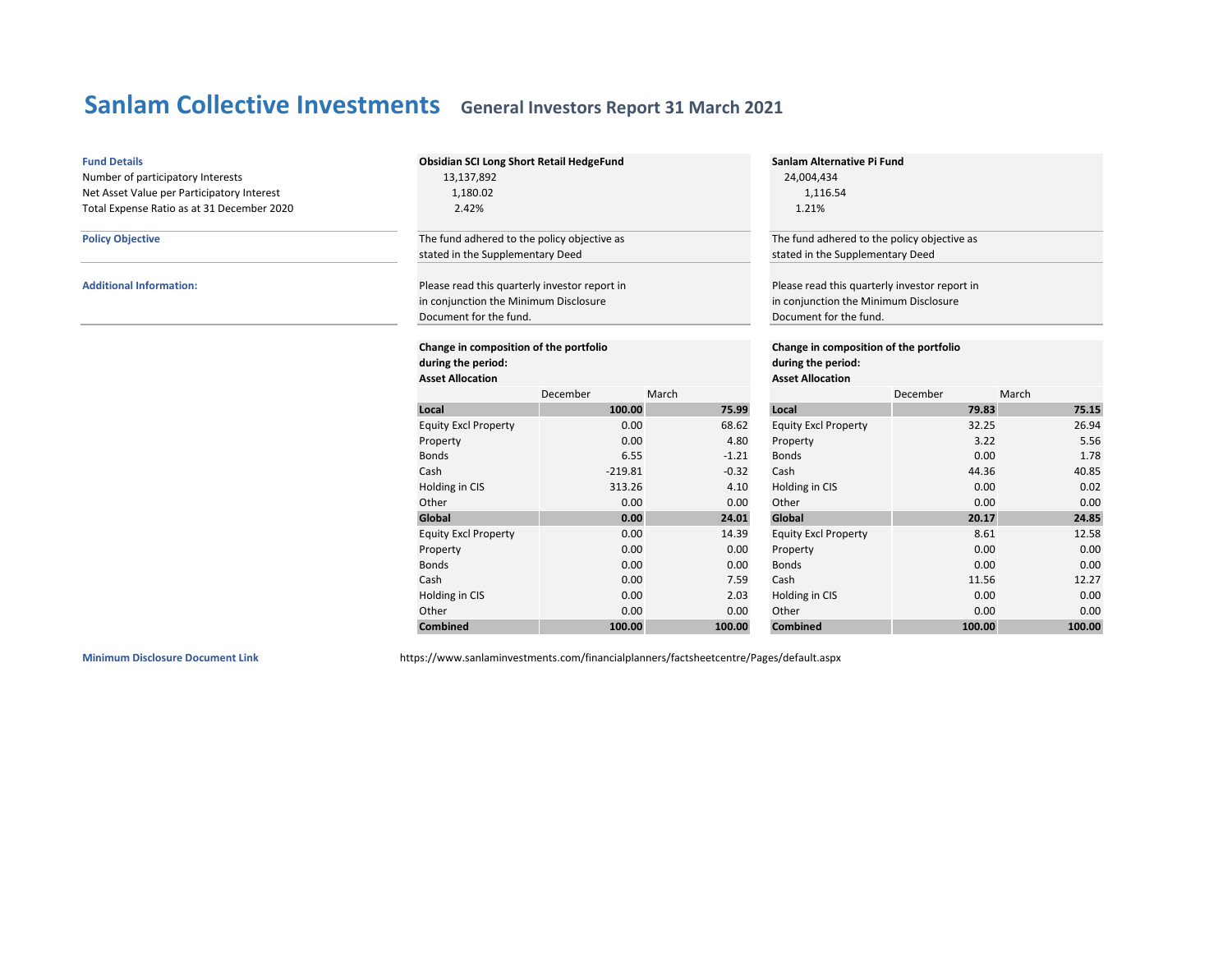| <b>Fund Details</b>                        | Obsidian SCI Long Short Retail HedgeFund                                         |                         |         | Sanlam Alternative Pi Fund                    |          |        |  |
|--------------------------------------------|----------------------------------------------------------------------------------|-------------------------|---------|-----------------------------------------------|----------|--------|--|
| Number of participatory Interests          | 13,137,892                                                                       |                         |         | 24,004,434                                    |          |        |  |
| Net Asset Value per Participatory Interest | 1,180.02                                                                         |                         |         | 1,116.54                                      |          |        |  |
| Total Expense Ratio as at 31 December 2020 | 2.42%                                                                            |                         |         | 1.21%                                         |          |        |  |
| <b>Policy Objective</b>                    | The fund adhered to the policy objective as                                      |                         |         | The fund adhered to the policy objective as   |          |        |  |
|                                            | stated in the Supplementary Deed                                                 |                         |         | stated in the Supplementary Deed              |          |        |  |
| <b>Additional Information:</b>             | Please read this quarterly investor report in                                    |                         |         | Please read this quarterly investor report in |          |        |  |
|                                            | in conjunction the Minimum Disclosure                                            |                         |         | in conjunction the Minimum Disclosure         |          |        |  |
|                                            | Document for the fund.                                                           |                         |         | Document for the fund.                        |          |        |  |
|                                            | Change in composition of the portfolio<br>Change in composition of the portfolio |                         |         |                                               |          |        |  |
|                                            | during the period:                                                               | during the period:      |         |                                               |          |        |  |
|                                            | <b>Asset Allocation</b>                                                          | <b>Asset Allocation</b> |         |                                               |          |        |  |
|                                            |                                                                                  | December                | March   |                                               | December | March  |  |
|                                            | Local                                                                            | 100.00                  | 75.99   | Local                                         | 79.83    | 75.15  |  |
|                                            | <b>Equity Excl Property</b>                                                      | 0.00                    | 68.62   | <b>Equity Excl Property</b>                   | 32.25    | 26.94  |  |
|                                            | Property                                                                         | 0.00                    | 4.80    | Property                                      | 3.22     | 5.56   |  |
|                                            | <b>Bonds</b>                                                                     | 6.55                    | $-1.21$ | <b>Bonds</b>                                  | 0.00     | 1.78   |  |
|                                            | Cash                                                                             | $-219.81$               | $-0.32$ | Cash                                          | 44.36    | 40.85  |  |
|                                            | Holding in CIS                                                                   | 313.26                  | 4.10    | Holding in CIS                                | 0.00     | 0.02   |  |
|                                            | Other                                                                            | 0.00                    | 0.00    | Other                                         | 0.00     | 0.00   |  |
|                                            | Global                                                                           | 0.00                    | 24.01   | Global                                        | 20.17    | 24.85  |  |
|                                            | <b>Equity Excl Property</b>                                                      | 0.00                    | 14.39   | <b>Equity Excl Property</b>                   | 8.61     | 12.58  |  |
|                                            | Property                                                                         | 0.00                    | 0.00    | Property                                      | 0.00     | 0.00   |  |
|                                            | <b>Bonds</b><br>0.00<br><b>Bonds</b><br>0.00<br>0.00                             | 0.00                    |         |                                               |          |        |  |
|                                            | Cash                                                                             | 0.00                    | 7.59    | Cash                                          | 11.56    | 12.27  |  |
|                                            | Holding in CIS                                                                   | 0.00                    | 2.03    | Holding in CIS                                | 0.00     | 0.00   |  |
|                                            | Other                                                                            | 0.00                    | 0.00    | Other                                         | 0.00     | 0.00   |  |
|                                            | <b>Combined</b>                                                                  | 100.00                  | 100.00  | <b>Combined</b>                               | 100.00   | 100.00 |  |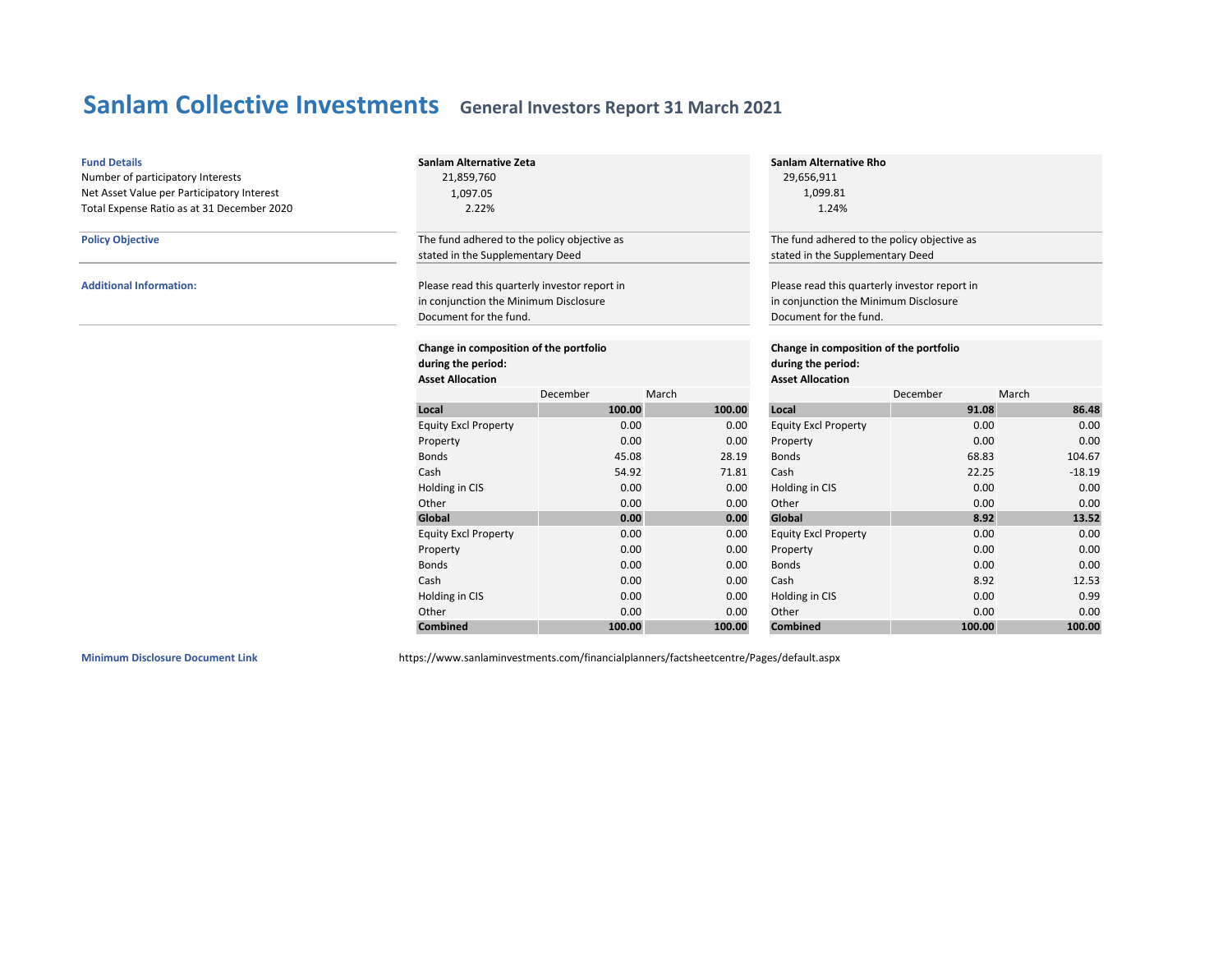| <b>Fund Details</b><br>Number of participatory Interests<br>Net Asset Value per Participatory Interest<br>Total Expense Ratio as at 31 December 2020 | 21,859,760<br>1,097.05<br>2.22%                                                                                                                                                    | Sanlam Alternative Zeta |                                   |                                                                                                                                                      | <b>Sanlam Alternative Rho</b><br>29,656,911<br>1,099.81<br>1.24% |          |  |  |
|------------------------------------------------------------------------------------------------------------------------------------------------------|------------------------------------------------------------------------------------------------------------------------------------------------------------------------------------|-------------------------|-----------------------------------|------------------------------------------------------------------------------------------------------------------------------------------------------|------------------------------------------------------------------|----------|--|--|
| <b>Policy Objective</b>                                                                                                                              | The fund adhered to the policy objective as                                                                                                                                        |                         |                                   | The fund adhered to the policy objective as                                                                                                          |                                                                  |          |  |  |
| <b>Additional Information:</b>                                                                                                                       | stated in the Supplementary Deed<br>Please read this quarterly investor report in<br>in conjunction the Minimum Disclosure<br>Document for the fund.                               |                         |                                   | stated in the Supplementary Deed<br>Please read this quarterly investor report in<br>in conjunction the Minimum Disclosure<br>Document for the fund. |                                                                  |          |  |  |
|                                                                                                                                                      | Change in composition of the portfolio<br>Change in composition of the portfolio<br>during the period:<br>during the period:<br><b>Asset Allocation</b><br><b>Asset Allocation</b> |                         |                                   |                                                                                                                                                      |                                                                  |          |  |  |
|                                                                                                                                                      |                                                                                                                                                                                    | December                | March                             |                                                                                                                                                      | December                                                         | March    |  |  |
|                                                                                                                                                      | Local                                                                                                                                                                              | 100.00                  | 100.00<br>91.08<br>86.48<br>Local |                                                                                                                                                      |                                                                  |          |  |  |
|                                                                                                                                                      | <b>Equity Excl Property</b>                                                                                                                                                        | 0.00                    | 0.00                              | <b>Equity Excl Property</b>                                                                                                                          | 0.00                                                             | 0.00     |  |  |
|                                                                                                                                                      | Property                                                                                                                                                                           | 0.00                    | 0.00                              | Property                                                                                                                                             | 0.00                                                             | 0.00     |  |  |
|                                                                                                                                                      | <b>Bonds</b>                                                                                                                                                                       | 45.08                   | 28.19                             | <b>Bonds</b>                                                                                                                                         | 68.83                                                            | 104.67   |  |  |
|                                                                                                                                                      | Cash                                                                                                                                                                               | 54.92                   | 71.81                             | Cash                                                                                                                                                 | 22.25                                                            | $-18.19$ |  |  |
|                                                                                                                                                      | Holding in CIS                                                                                                                                                                     | 0.00                    | 0.00                              | Holding in CIS                                                                                                                                       | 0.00                                                             | 0.00     |  |  |
|                                                                                                                                                      | Other                                                                                                                                                                              | 0.00                    | 0.00                              | Other                                                                                                                                                | 0.00                                                             | 0.00     |  |  |
|                                                                                                                                                      | Global                                                                                                                                                                             | 0.00                    | 0.00                              | Global                                                                                                                                               | 8.92                                                             | 13.52    |  |  |
|                                                                                                                                                      | <b>Equity Excl Property</b>                                                                                                                                                        | 0.00                    | 0.00                              | <b>Equity Excl Property</b>                                                                                                                          | 0.00                                                             | 0.00     |  |  |
|                                                                                                                                                      | Property                                                                                                                                                                           | 0.00                    | 0.00                              | Property                                                                                                                                             | 0.00                                                             | 0.00     |  |  |
|                                                                                                                                                      | <b>Bonds</b>                                                                                                                                                                       | 0.00                    | 0.00                              | <b>Bonds</b>                                                                                                                                         | 0.00                                                             | 0.00     |  |  |
|                                                                                                                                                      | Cash                                                                                                                                                                               | 0.00                    | 0.00                              | Cash                                                                                                                                                 | 8.92                                                             | 12.53    |  |  |
|                                                                                                                                                      | Holding in CIS                                                                                                                                                                     | 0.00                    | 0.00                              | Holding in CIS                                                                                                                                       | 0.00                                                             | 0.99     |  |  |
|                                                                                                                                                      | Other                                                                                                                                                                              | 0.00                    | 0.00                              | Other                                                                                                                                                | 0.00                                                             | 0.00     |  |  |
|                                                                                                                                                      | Combined                                                                                                                                                                           | 100.00                  | 100.00                            | <b>Combined</b>                                                                                                                                      | 100.00                                                           | 100.00   |  |  |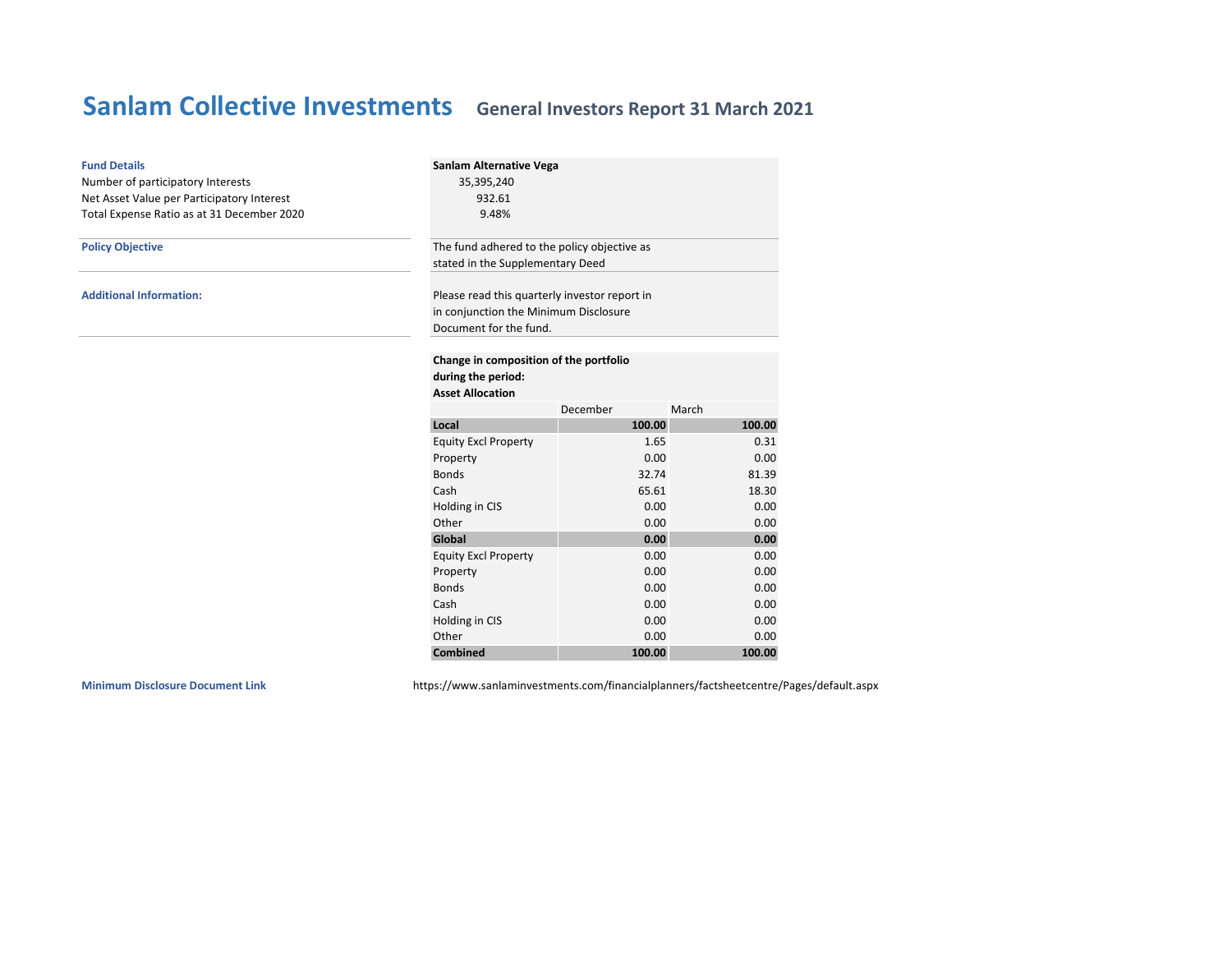| <b>Fund Details</b><br>Number of participatory Interests<br>Net Asset Value per Participatory Interest<br>Total Expense Ratio as at 31 December 2020 | Sanlam Alternative Vega<br>35,395,240<br>932.61<br>9.48%                                                         |                                                                                 |        |  |  |  |
|------------------------------------------------------------------------------------------------------------------------------------------------------|------------------------------------------------------------------------------------------------------------------|---------------------------------------------------------------------------------|--------|--|--|--|
| <b>Policy Objective</b>                                                                                                                              |                                                                                                                  | The fund adhered to the policy objective as<br>stated in the Supplementary Deed |        |  |  |  |
| <b>Additional Information:</b>                                                                                                                       | Please read this quarterly investor report in<br>in conjunction the Minimum Disclosure<br>Document for the fund. |                                                                                 |        |  |  |  |
|                                                                                                                                                      | Change in composition of the portfolio<br>during the period:<br><b>Asset Allocation</b>                          |                                                                                 |        |  |  |  |
|                                                                                                                                                      |                                                                                                                  | December                                                                        | March  |  |  |  |
|                                                                                                                                                      | Local                                                                                                            | 100.00                                                                          | 100.00 |  |  |  |
|                                                                                                                                                      | <b>Equity Excl Property</b>                                                                                      | 1.65                                                                            | 0.31   |  |  |  |
|                                                                                                                                                      | Property                                                                                                         | 0.00                                                                            | 0.00   |  |  |  |
|                                                                                                                                                      | <b>Bonds</b>                                                                                                     | 32.74                                                                           | 81.39  |  |  |  |
|                                                                                                                                                      | Cash                                                                                                             | 65.61                                                                           | 18.30  |  |  |  |
|                                                                                                                                                      | Holding in CIS                                                                                                   | 0.00                                                                            | 0.00   |  |  |  |
|                                                                                                                                                      | Other                                                                                                            | 0.00                                                                            | 0.00   |  |  |  |
|                                                                                                                                                      | Global                                                                                                           | 0.00                                                                            | 0.00   |  |  |  |
|                                                                                                                                                      | <b>Equity Excl Property</b>                                                                                      | 0.00                                                                            | 0.00   |  |  |  |
|                                                                                                                                                      | Property                                                                                                         | 0.00                                                                            | 0.00   |  |  |  |
|                                                                                                                                                      | <b>Bonds</b>                                                                                                     | 0.00                                                                            | 0.00   |  |  |  |
|                                                                                                                                                      | Cash                                                                                                             | 0.00                                                                            | 0.00   |  |  |  |
|                                                                                                                                                      | Holding in CIS                                                                                                   | 0.00                                                                            | 0.00   |  |  |  |
|                                                                                                                                                      | Other                                                                                                            | 0.00                                                                            | 0.00   |  |  |  |
|                                                                                                                                                      | <b>Combined</b>                                                                                                  | 100.00                                                                          | 100.00 |  |  |  |